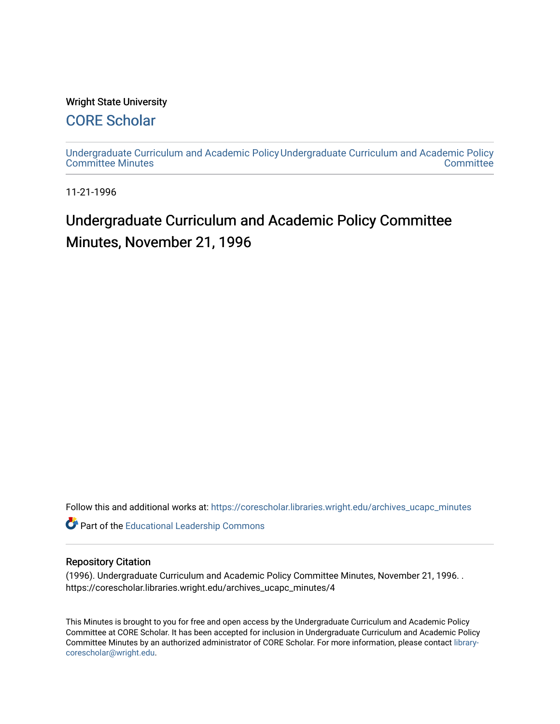#### Wright State University

### [CORE Scholar](https://corescholar.libraries.wright.edu/)

[Undergraduate Curriculum and Academic Policy](https://corescholar.libraries.wright.edu/archives_ucapc_minutes) [Undergraduate Curriculum and Academic Policy](https://corescholar.libraries.wright.edu/archives_ucapc)  [Committee Minutes](https://corescholar.libraries.wright.edu/archives_ucapc_minutes) **Committee** 

11-21-1996

## Undergraduate Curriculum and Academic Policy Committee Minutes, November 21, 1996

Follow this and additional works at: [https://corescholar.libraries.wright.edu/archives\\_ucapc\\_minutes](https://corescholar.libraries.wright.edu/archives_ucapc_minutes?utm_source=corescholar.libraries.wright.edu%2Farchives_ucapc_minutes%2F4&utm_medium=PDF&utm_campaign=PDFCoverPages) 

Part of the [Educational Leadership Commons](http://network.bepress.com/hgg/discipline/1230?utm_source=corescholar.libraries.wright.edu%2Farchives_ucapc_minutes%2F4&utm_medium=PDF&utm_campaign=PDFCoverPages) 

#### Repository Citation

(1996). Undergraduate Curriculum and Academic Policy Committee Minutes, November 21, 1996. . https://corescholar.libraries.wright.edu/archives\_ucapc\_minutes/4

This Minutes is brought to you for free and open access by the Undergraduate Curriculum and Academic Policy Committee at CORE Scholar. It has been accepted for inclusion in Undergraduate Curriculum and Academic Policy Committee Minutes by an authorized administrator of CORE Scholar. For more information, please contact [library](mailto:library-corescholar@wright.edu)[corescholar@wright.edu](mailto:library-corescholar@wright.edu).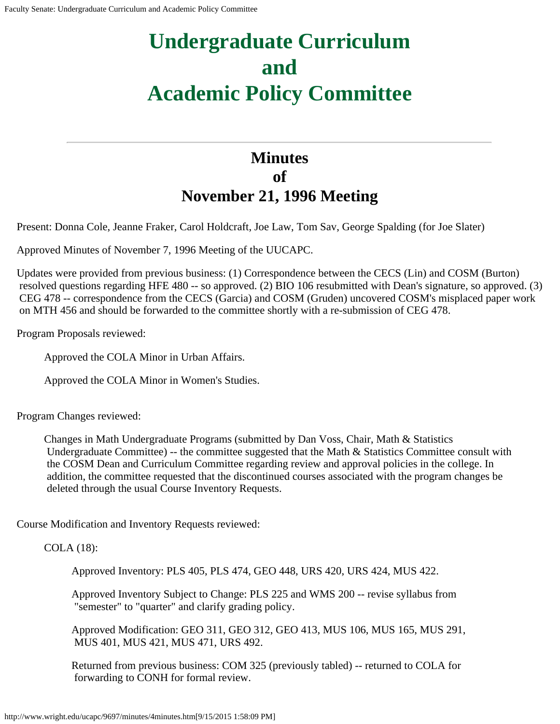# **Undergraduate Curriculum and Academic Policy Committee**

## **Minutes of November 21, 1996 Meeting**

Present: Donna Cole, Jeanne Fraker, Carol Holdcraft, Joe Law, Tom Sav, George Spalding (for Joe Slater)

Approved Minutes of November 7, 1996 Meeting of the UUCAPC.

Updates were provided from previous business: (1) Correspondence between the CECS (Lin) and COSM (Burton) resolved questions regarding HFE 480 -- so approved. (2) BIO 106 resubmitted with Dean's signature, so approved. (3) CEG 478 -- correspondence from the CECS (Garcia) and COSM (Gruden) uncovered COSM's misplaced paper work on MTH 456 and should be forwarded to the committee shortly with a re-submission of CEG 478.

Program Proposals reviewed:

Approved the COLA Minor in Urban Affairs.

Approved the COLA Minor in Women's Studies.

Program Changes reviewed:

Changes in Math Undergraduate Programs (submitted by Dan Voss, Chair, Math & Statistics Undergraduate Committee) -- the committee suggested that the Math & Statistics Committee consult with the COSM Dean and Curriculum Committee regarding review and approval policies in the college. In addition, the committee requested that the discontinued courses associated with the program changes be deleted through the usual Course Inventory Requests.

Course Modification and Inventory Requests reviewed:

COLA (18):

Approved Inventory: PLS 405, PLS 474, GEO 448, URS 420, URS 424, MUS 422.

Approved Inventory Subject to Change: PLS 225 and WMS 200 -- revise syllabus from "semester" to "quarter" and clarify grading policy.

Approved Modification: GEO 311, GEO 312, GEO 413, MUS 106, MUS 165, MUS 291, MUS 401, MUS 421, MUS 471, URS 492.

Returned from previous business: COM 325 (previously tabled) -- returned to COLA for forwarding to CONH for formal review.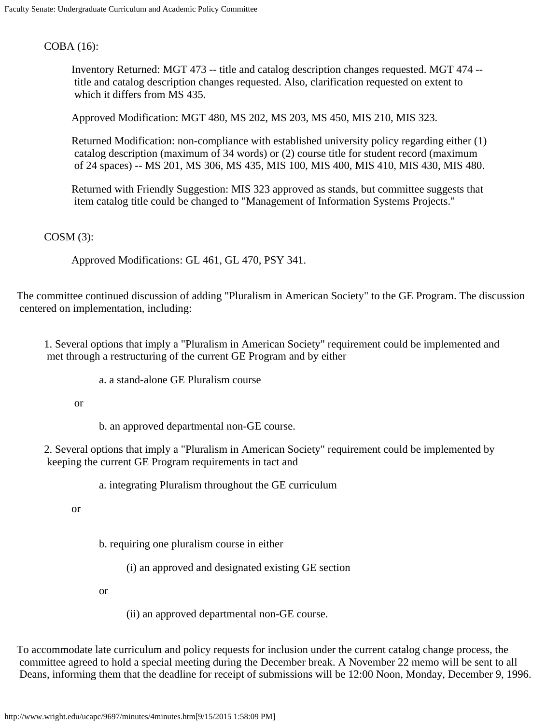COBA (16):

Inventory Returned: MGT 473 -- title and catalog description changes requested. MGT 474 - title and catalog description changes requested. Also, clarification requested on extent to which it differs from MS 435.

Approved Modification: MGT 480, MS 202, MS 203, MS 450, MIS 210, MIS 323.

Returned Modification: non-compliance with established university policy regarding either (1) catalog description (maximum of 34 words) or (2) course title for student record (maximum of 24 spaces) -- MS 201, MS 306, MS 435, MIS 100, MIS 400, MIS 410, MIS 430, MIS 480.

Returned with Friendly Suggestion: MIS 323 approved as stands, but committee suggests that item catalog title could be changed to "Management of Information Systems Projects."

COSM (3):

Approved Modifications: GL 461, GL 470, PSY 341.

The committee continued discussion of adding "Pluralism in American Society" to the GE Program. The discussion centered on implementation, including:

1. Several options that imply a "Pluralism in American Society" requirement could be implemented and met through a restructuring of the current GE Program and by either

a. a stand-alone GE Pluralism course

or

b. an approved departmental non-GE course.

2. Several options that imply a "Pluralism in American Society" requirement could be implemented by keeping the current GE Program requirements in tact and

a. integrating Pluralism throughout the GE curriculum

or

b. requiring one pluralism course in either

(i) an approved and designated existing GE section

or

(ii) an approved departmental non-GE course.

To accommodate late curriculum and policy requests for inclusion under the current catalog change process, the committee agreed to hold a special meeting during the December break. A November 22 memo will be sent to all Deans, informing them that the deadline for receipt of submissions will be 12:00 Noon, Monday, December 9, 1996.